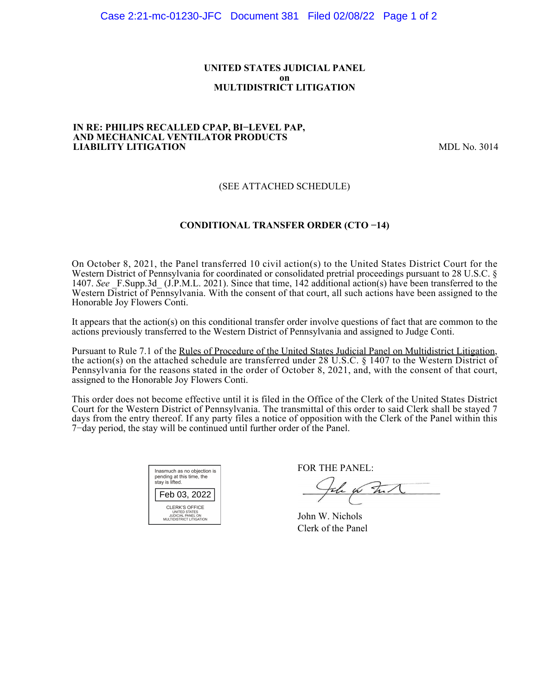### **UNITED STATES JUDICIAL PANEL on MULTIDISTRICT LITIGATION**

#### **IN RE: PHILIPS RECALLED CPAP, BI−LEVEL PAP, AND MECHANICAL VENTILATOR PRODUCTS LIABILITY LITIGATION** MDL No. 3014

## (SEE ATTACHED SCHEDULE)

### **CONDITIONAL TRANSFER ORDER (CTO −14)**

On October 8, 2021, the Panel transferred 10 civil action(s) to the United States District Court for the Western District of Pennsylvania for coordinated or consolidated pretrial proceedings pursuant to 28 U.S.C. § 1407. See F.Supp.3d (J.P.M.L. 2021). Since that time, 142 additional action(s) have been transferred to the Western District of Pennsylvania. With the consent of that court, all such actions have been assigned to the Honorable Joy Flowers Conti.

It appears that the action(s) on this conditional transfer order involve questions of fact that are common to the actions previously transferred to the Western District of Pennsylvania and assigned to Judge Conti.

Pursuant to Rule 7.1 of the Rules of Procedure of the United States Judicial Panel on Multidistrict Litigation, the action(s) on the attached schedule are transferred under 28 U.S.C. § 1407 to the Western District of Pennsylvania for the reasons stated in the order of October 8, 2021, and, with the consent of that court, assigned to the Honorable Joy Flowers Conti.

This order does not become effective until it is filed in the Office of the Clerk of the United States District Court for the Western District of Pennsylvania. The transmittal of this order to said Clerk shall be stayed 7 days from the entry thereof. If any party files a notice of opposition with the Clerk of the Panel within this 7−day period, the stay will be continued until further order of the Panel.



FOR THE PANEL:

the for that

John W. Nichols Clerk of the Panel